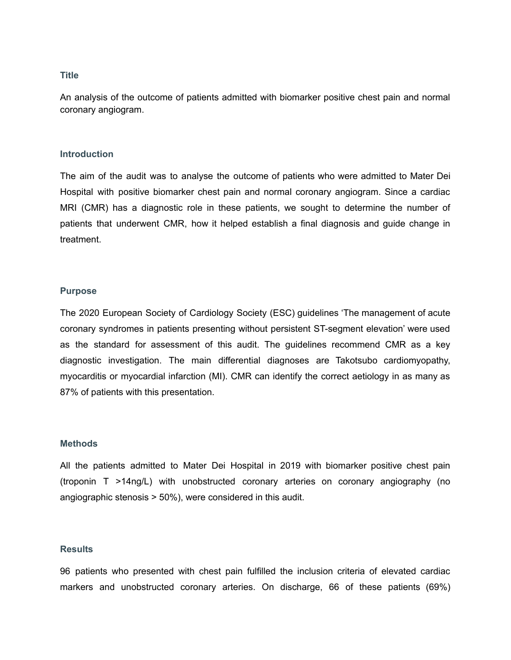## **Title**

An analysis of the outcome of patients admitted with biomarker positive chest pain and normal coronary angiogram.

## **Introduction**

The aim of the audit was to analyse the outcome of patients who were admitted to Mater Dei Hospital with positive biomarker chest pain and normal coronary angiogram. Since a cardiac MRI (CMR) has a diagnostic role in these patients, we sought to determine the number of patients that underwent CMR, how it helped establish a final diagnosis and guide change in treatment.

## **Purpose**

The 2020 European Society of Cardiology Society (ESC) guidelines 'The management of acute coronary syndromes in patients presenting without persistent ST-segment elevation' were used as the standard for assessment of this audit. The guidelines recommend CMR as a key diagnostic investigation. The main differential diagnoses are Takotsubo cardiomyopathy, myocarditis or myocardial infarction (MI). CMR can identify the correct aetiology in as many as 87% of patients with this presentation.

# **Methods**

All the patients admitted to Mater Dei Hospital in 2019 with biomarker positive chest pain (troponin T >14ng/L) with unobstructed coronary arteries on coronary angiography (no angiographic stenosis > 50%), were considered in this audit.

## **Results**

96 patients who presented with chest pain fulfilled the inclusion criteria of elevated cardiac markers and unobstructed coronary arteries. On discharge, 66 of these patients (69%)